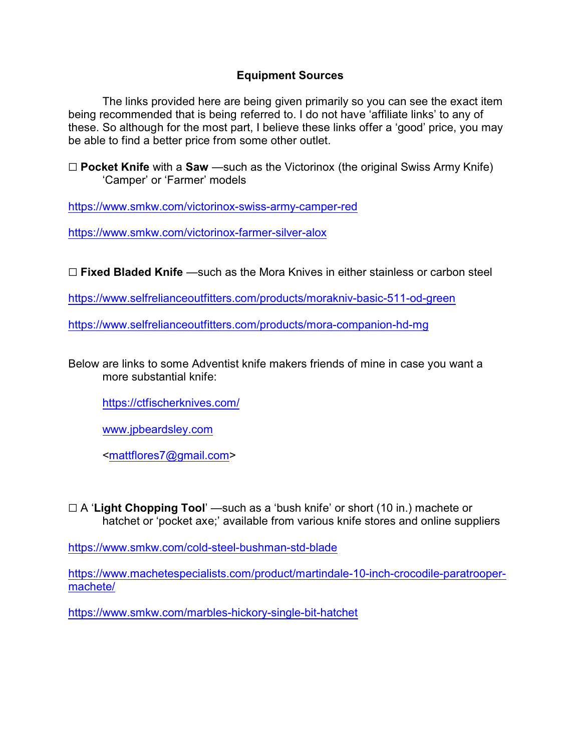## **Equipment Sources**

The links provided here are being given primarily so you can see the exact item being recommended that is being referred to. I do not have 'affiliate links' to any of these. So although for the most part, I believe these links offer a 'good' price, you may be able to find a better price from some other outlet.

G **Pocket Knife** with a **Saw** —such as the Victorinox (the original Swiss Army Knife) 'Camper' or 'Farmer' models

<https://www.smkw.com/victorinox-swiss-army-camper-red>

<https://www.smkw.com/victorinox-farmer-silver-alox>

G **Fixed Bladed Knife** —such as the Mora Knives in either stainless or carbon steel

<https://www.selfrelianceoutfitters.com/products/morakniv-basic-511-od-green>

<https://www.selfrelianceoutfitters.com/products/mora-companion-hd-mg>

Below are links to some Adventist knife makers friends of mine in case you want a more substantial knife:

<https://ctfischerknives.com/>

[www.jpbeardsley.com](http://www.jpbeardsley.com)

[<mattflores7@gmail.com](mailto:mattflores7@gmail.com)>

G A '**Light Chopping Tool**' —such as a 'bush knife' or short (10 in.) machete or hatchet or 'pocket axe;' available from various knife stores and online suppliers

<https://www.smkw.com/cold-steel-bushman-std-blade>

[https://www.machetespecialists.com/product/martindale-10-inch-crocodile-paratrooper](https://www.machetespecialists.com/product/martindale-10-inch-crocodile-paratrooper-machete/)[machete/](https://www.machetespecialists.com/product/martindale-10-inch-crocodile-paratrooper-machete/)

<https://www.smkw.com/marbles-hickory-single-bit-hatchet>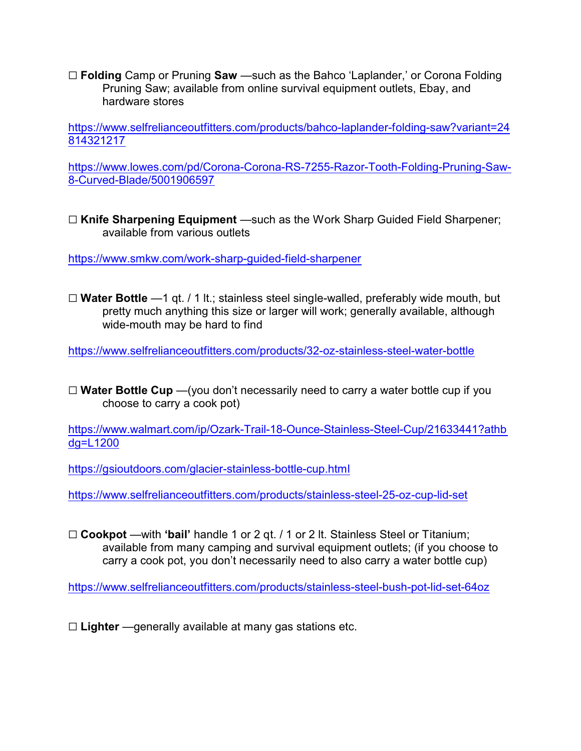G **Folding** Camp or Pruning **Saw** —such as the Bahco 'Laplander,' or Corona Folding Pruning Saw; available from online survival equipment outlets, Ebay, and hardware stores

[https://www.selfrelianceoutfitters.com/products/bahco-laplander-folding-saw?variant=24](https://www.selfrelianceoutfitters.com/products/bahco-laplander-folding-saw?variant=24814321217) [814321217](https://www.selfrelianceoutfitters.com/products/bahco-laplander-folding-saw?variant=24814321217)

[https://www.lowes.com/pd/Corona-Corona-RS-7255-Razor-Tooth-Folding-Pruning-Saw-](https://www.lowes.com/pd/Corona-Corona-RS-7255-Razor-Tooth-Folding-Pruning-Saw-8-Curved-Blade/5001906597)[8-Curved-Blade/5001906597](https://www.lowes.com/pd/Corona-Corona-RS-7255-Razor-Tooth-Folding-Pruning-Saw-8-Curved-Blade/5001906597)

G **Knife Sharpening Equipment** —such as the Work Sharp Guided Field Sharpener; available from various outlets

<https://www.smkw.com/work-sharp-guided-field-sharpener>

G **Water Bottle** —1 qt. / 1 lt.; stainless steel single-walled, preferably wide mouth, but pretty much anything this size or larger will work; generally available, although wide-mouth may be hard to find

<https://www.selfrelianceoutfitters.com/products/32-oz-stainless-steel-water-bottle>

□ **Water Bottle Cup** —(you don't necessarily need to carry a water bottle cup if you choose to carry a cook pot)

[https://www.walmart.com/ip/Ozark-Trail-18-Ounce-Stainless-Steel-Cup/21633441?athb](https://www.walmart.com/ip/Ozark-Trail-18-Ounce-Stainless-Steel-Cup/21633441?athbdg=L1200) [dg=L1200](https://www.walmart.com/ip/Ozark-Trail-18-Ounce-Stainless-Steel-Cup/21633441?athbdg=L1200)

<https://gsioutdoors.com/glacier-stainless-bottle-cup.html>

<https://www.selfrelianceoutfitters.com/products/stainless-steel-25-oz-cup-lid-set>

G **Cookpot** —with **'bail'** handle 1 or 2 qt. / 1 or 2 lt. Stainless Steel or Titanium; available from many camping and survival equipment outlets; (if you choose to carry a cook pot, you don't necessarily need to also carry a water bottle cup)

<https://www.selfrelianceoutfitters.com/products/stainless-steel-bush-pot-lid-set-64oz>

□ **Lighter** —generally available at many gas stations etc.